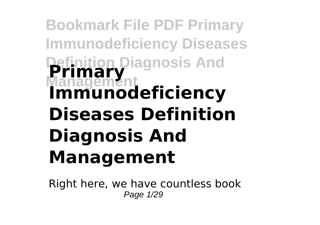# **Bookmark File PDF Primary Immunodeficiency Diseases Definition Diagnosis And Management Primary Immunodeficiency Diseases Definition Diagnosis And Management**

Right here, we have countless book Page 1/29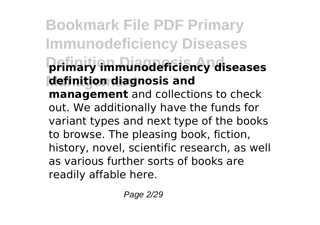# **Bookmark File PDF Primary Immunodeficiency Diseases Definition Diagnosis And primary immunodeficiency diseases Management definition diagnosis and management** and collections to check out. We additionally have the funds for variant types and next type of the books to browse. The pleasing book, fiction, history, novel, scientific research, as well as various further sorts of books are readily affable here.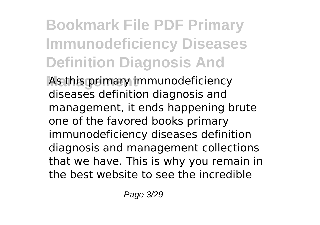# **Bookmark File PDF Primary Immunodeficiency Diseases Definition Diagnosis And**

As this primary immunodeficiency diseases definition diagnosis and management, it ends happening brute one of the favored books primary immunodeficiency diseases definition diagnosis and management collections that we have. This is why you remain in the best website to see the incredible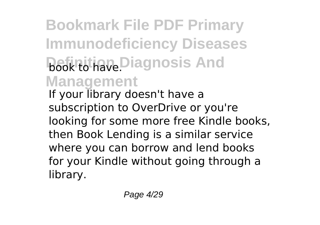**Bookmark File PDF Primary Immunodeficiency Diseases Book to have.** Diagnosis And **Management** If your library doesn't have a subscription to OverDrive or you're looking for some more free Kindle books, then Book Lending is a similar service where you can borrow and lend books for your Kindle without going through a library.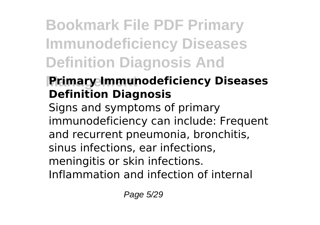# **Bookmark File PDF Primary Immunodeficiency Diseases Definition Diagnosis And**

# **Primary Immunodeficiency Diseases Definition Diagnosis**

Signs and symptoms of primary immunodeficiency can include: Frequent and recurrent pneumonia, bronchitis, sinus infections, ear infections, meningitis or skin infections. Inflammation and infection of internal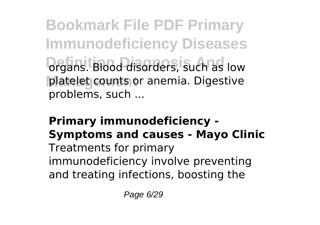**Bookmark File PDF Primary Immunodeficiency Diseases** *<u>Organs. Blood disorders</u>*, such as low platelet counts or anemia. Digestive problems, such ...

### **Primary immunodeficiency - Symptoms and causes - Mayo Clinic** Treatments for primary immunodeficiency involve preventing and treating infections, boosting the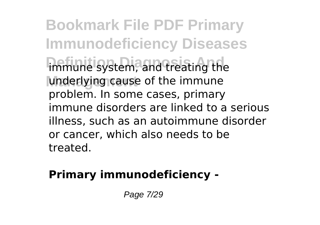**Bookmark File PDF Primary Immunodeficiency Diseases** immune system, and treating the underlying cause of the immune problem. In some cases, primary immune disorders are linked to a serious illness, such as an autoimmune disorder or cancer, which also needs to be treated.

### **Primary immunodeficiency -**

Page 7/29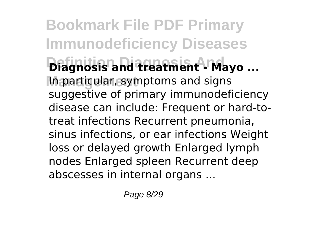**Bookmark File PDF Primary Immunodeficiency Diseases Definition Diagnosis And Diagnosis and treatment - Mayo ... Management** In particular, symptoms and signs suggestive of primary immunodeficiency disease can include: Frequent or hard-totreat infections Recurrent pneumonia, sinus infections, or ear infections Weight loss or delayed growth Enlarged lymph nodes Enlarged spleen Recurrent deep abscesses in internal organs ...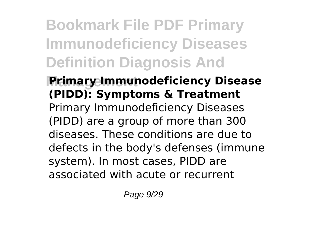# **Bookmark File PDF Primary Immunodeficiency Diseases Definition Diagnosis And**

### **Primary Immunodeficiency Disease (PIDD): Symptoms & Treatment** Primary Immunodeficiency Diseases (PIDD) are a group of more than 300 diseases. These conditions are due to defects in the body's defenses (immune system). In most cases, PIDD are associated with acute or recurrent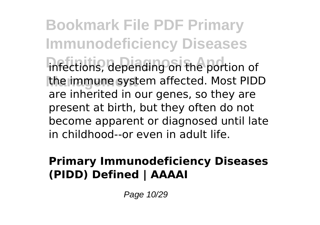**Bookmark File PDF Primary Immunodeficiency Diseases** infections, depending on the portion of **Management** the immune system affected. Most PIDD are inherited in our genes, so they are present at birth, but they often do not become apparent or diagnosed until late in childhood--or even in adult life.

#### **Primary Immunodeficiency Diseases (PIDD) Defined | AAAAI**

Page 10/29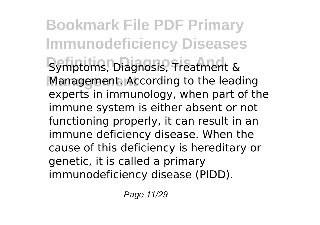**Bookmark File PDF Primary Immunodeficiency Diseases** Symptoms, Diagnosis, Treatment & **Management** Management. According to the leading experts in immunology, when part of the immune system is either absent or not functioning properly, it can result in an immune deficiency disease. When the cause of this deficiency is hereditary or genetic, it is called a primary immunodeficiency disease (PIDD).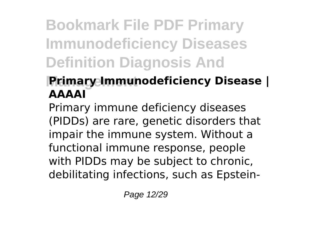# **Bookmark File PDF Primary Immunodeficiency Diseases Definition Diagnosis And**

## **Management Primary Immunodeficiency Disease | AAAAI**

Primary immune deficiency diseases (PIDDs) are rare, genetic disorders that impair the immune system. Without a functional immune response, people with PIDDs may be subject to chronic, debilitating infections, such as Epstein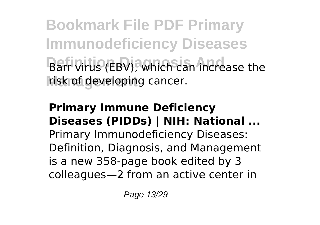**Bookmark File PDF Primary Immunodeficiency Diseases Barr virus (EBV), which can increase the** risk of developing cancer.

**Primary Immune Deficiency Diseases (PIDDs) | NIH: National ...** Primary Immunodeficiency Diseases: Definition, Diagnosis, and Management is a new 358-page book edited by 3 colleagues—2 from an active center in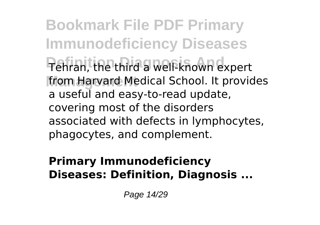**Bookmark File PDF Primary Immunodeficiency Diseases Definition Diagnosis And** Tehran, the third a well-known expert from Harvard Medical School. It provides a useful and easy-to-read update, covering most of the disorders associated with defects in lymphocytes, phagocytes, and complement.

#### **Primary Immunodeficiency Diseases: Definition, Diagnosis ...**

Page 14/29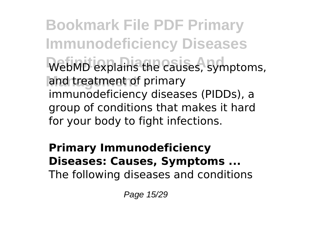**Bookmark File PDF Primary Immunodeficiency Diseases** WebMD explains the causes, symptoms, and treatment of primary immunodeficiency diseases (PIDDs), a group of conditions that makes it hard for your body to fight infections.

**Primary Immunodeficiency Diseases: Causes, Symptoms ...** The following diseases and conditions

Page 15/29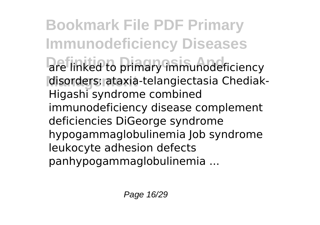**Bookmark File PDF Primary Immunodeficiency Diseases** are linked to primary immunodeficiency disorders: ataxia-telangiectasia Chediak-Higashi syndrome combined immunodeficiency disease complement deficiencies DiGeorge syndrome hypogammaglobulinemia Job syndrome leukocyte adhesion defects panhypogammaglobulinemia ...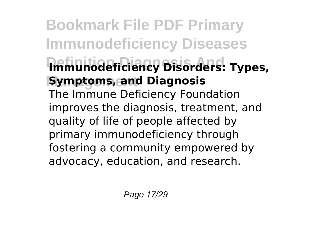# **Bookmark File PDF Primary Immunodeficiency Diseases Definition Diagnosis And Immunodeficiency Disorders: Types, Symptoms, and Diagnosis** The Immune Deficiency Foundation improves the diagnosis, treatment, and quality of life of people affected by primary immunodeficiency through fostering a community empowered by advocacy, education, and research.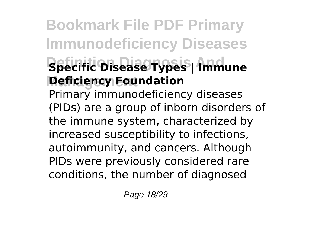# **Bookmark File PDF Primary Immunodeficiency Diseases Definition Diagnosis And Specific Disease Types | Immune Management Deficiency Foundation** Primary immunodeficiency diseases (PIDs) are a group of inborn disorders of the immune system, characterized by increased susceptibility to infections, autoimmunity, and cancers. Although PIDs were previously considered rare

conditions, the number of diagnosed

Page 18/29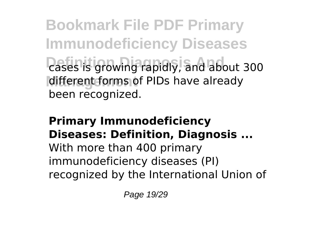**Bookmark File PDF Primary Immunodeficiency Diseases** *Cases is growing rapidly, and about 300* different forms of PIDs have already been recognized.

### **Primary Immunodeficiency Diseases: Definition, Diagnosis ...**

With more than 400 primary immunodeficiency diseases (PI) recognized by the International Union of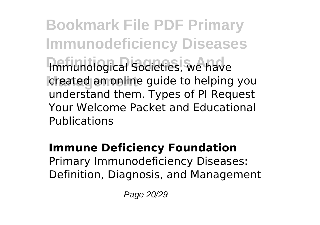**Bookmark File PDF Primary Immunodeficiency Diseases Immunological Societies, we have** created an online guide to helping you understand them. Types of PI Request Your Welcome Packet and Educational Publications

#### **Immune Deficiency Foundation** Primary Immunodeficiency Diseases: Definition, Diagnosis, and Management

Page 20/29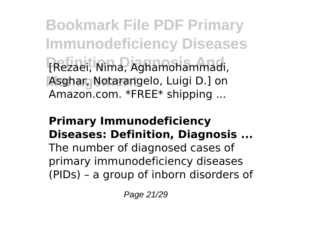**Bookmark File PDF Primary Immunodeficiency Diseases Definition Diagnosis And** [Rezaei, Nima, Aghamohammadi, Asghar, Notarangelo, Luigi D.] on Amazon.com. \*FREE\* shipping ...

#### **Primary Immunodeficiency Diseases: Definition, Diagnosis ...**

The number of diagnosed cases of primary immunodeficiency diseases (PIDs) – a group of inborn disorders of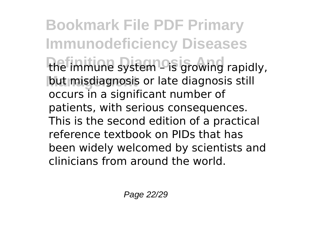**Bookmark File PDF Primary Immunodeficiency Diseases** the immune system – is growing rapidly, but misdiagnosis or late diagnosis still occurs in a significant number of patients, with serious consequences. This is the second edition of a practical reference textbook on PIDs that has been widely welcomed by scientists and clinicians from around the world.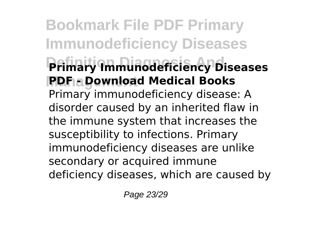**Bookmark File PDF Primary Immunodeficiency Diseases Definition Diagnosis And Primary Immunodeficiency Diseases Management PDF - Download Medical Books** Primary immunodeficiency disease: A disorder caused by an inherited flaw in the immune system that increases the susceptibility to infections. Primary immunodeficiency diseases are unlike secondary or acquired immune deficiency diseases, which are caused by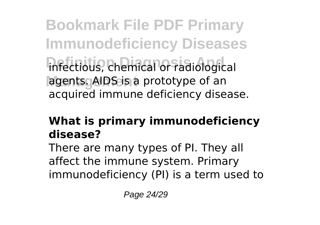**Bookmark File PDF Primary Immunodeficiency Diseases** infectious, chemical or radiological agents. AIDS is a prototype of an acquired immune deficiency disease.

### **What is primary immunodeficiency disease?**

There are many types of PI. They all affect the immune system. Primary immunodeficiency (PI) is a term used to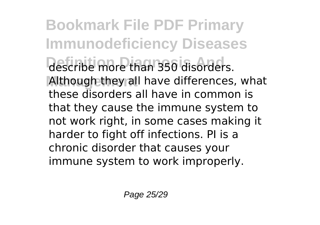**Bookmark File PDF Primary Immunodeficiency Diseases** describe more than 350 disorders. Although they all have differences, what these disorders all have in common is that they cause the immune system to not work right, in some cases making it harder to fight off infections. PI is a chronic disorder that causes your immune system to work improperly.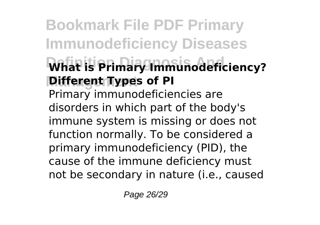# **Bookmark File PDF Primary Immunodeficiency Diseases Definition Diagnosis And What is Primary Immunodeficiency? Different Types of PI** Primary immunodeficiencies are disorders in which part of the body's immune system is missing or does not function normally. To be considered a primary immunodeficiency (PID), the cause of the immune deficiency must not be secondary in nature (i.e., caused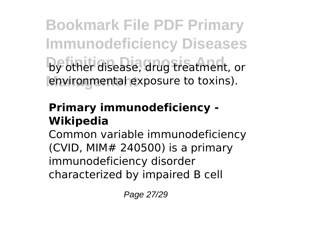**Bookmark File PDF Primary Immunodeficiency Diseases** by other disease, drug treatment, or environmental exposure to toxins).

### **Primary immunodeficiency - Wikipedia**

Common variable immunodeficiency (CVID, MIM# 240500) is a primary immunodeficiency disorder characterized by impaired B cell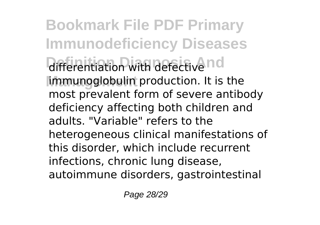**Bookmark File PDF Primary Immunodeficiency Diseases** differentiation with defective nd **Management** immunoglobulin production. It is the most prevalent form of severe antibody deficiency affecting both children and adults. "Variable" refers to the heterogeneous clinical manifestations of this disorder, which include recurrent infections, chronic lung disease, autoimmune disorders, gastrointestinal